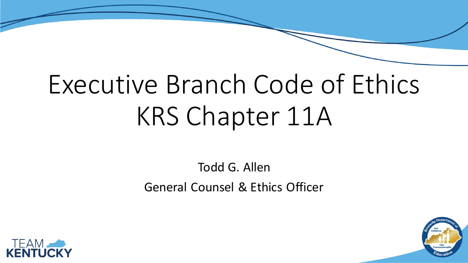# Executive Branch Code of Ethics KRS Chapter 11A

Todd G. Allen General Counsel & Ethics Officer



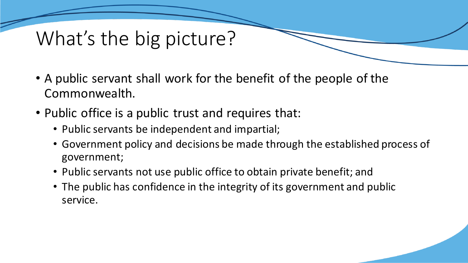## What's the big picture?

- A public servant shall work for the benefit of the people of the Commonwealth.
- Public office is a public trust and requires that:
	- Public servants be independent and impartial;
	- Government policy and decisions be made through the established process of government;
	- Public servants not use public office to obtain private benefit; and
	- The public has confidence in the integrity of its government and public service.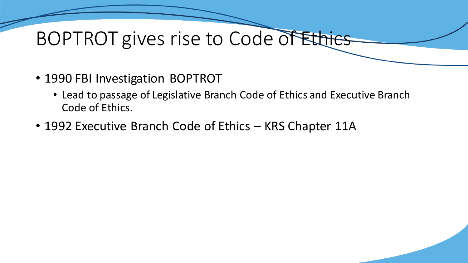## BOPTROT gives rise to Code of Ethics

- 1990 FBI Investigation BOPTROT
	- Lead to passage of Legislative Branch Code of Ethics and Executive Branch Code of Ethics.
- 1992 Executive Branch Code of Ethics KRS Chapter 11A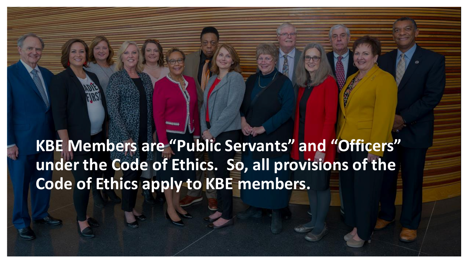**KBE Members are "Public Servants" and "Officers" under the Code of Ethics. So, all provisions of the Code of Ethics apply to KBE members.**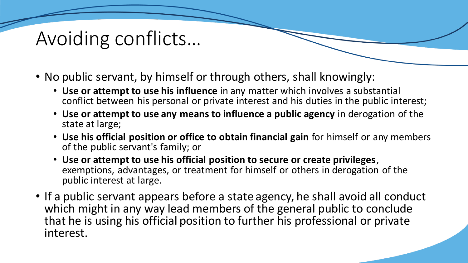## Avoiding conflicts…

- No public servant, by himself or through others, shall knowingly:
	- **Use or attempt to use his influence** in any matter which involves a substantial conflict between his personal or private interest and his duties in the public interest;
	- **Use or attempt to use any means to influence a public agency** in derogation of the state at large;
	- **Use his official position or office to obtain financial gain** for himself or any members of the public servant's family; or
	- **Use or attempt to use his official position to secure or create privileges**, exemptions, advantages, or treatment for himself or others in derogation of the public interest at large.
- If a public servant appears before a state agency, he shall avoid all conduct which might in any way lead members of the general public to conclude that he is using his official position to further his professional or private interest.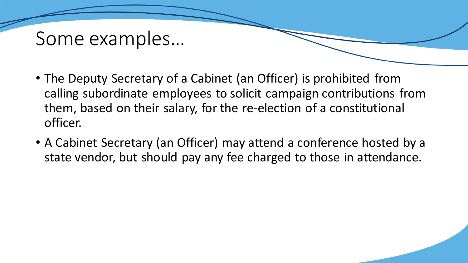#### Some examples…

- The Deputy Secretary of a Cabinet (an Officer) is prohibited from calling subordinate employees to solicit campaign contributions from them, based on their salary, for the re-election of a constitutional officer.
- A Cabinet Secretary (an Officer) may attend a conference hosted by a state vendor, but should pay any fee charged to those in attendance.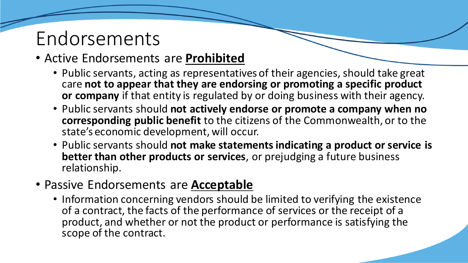### Endorsements

#### • Active Endorsements are **Prohibited**

- Public servants, acting as representatives of their agencies, should take great care **not to appear that they are endorsing or promoting a specific product or company** if that entity is regulated by or doing business with their agency.
- Public servants should **not actively endorse or promote a company when no corresponding public benefit** to the citizens of the Commonwealth, or to the state's economic development, will occur.
- Public servants should **not make statements indicating a product or service is better than other products or services**, or prejudging a future business relationship.
- Passive Endorsements are **Acceptable**
	- Information concerning vendors should be limited to verifying the existence of a contract, the facts of the performance of services or the receipt of a product, and whether or not the product or performance is satisfying the scope of the contract.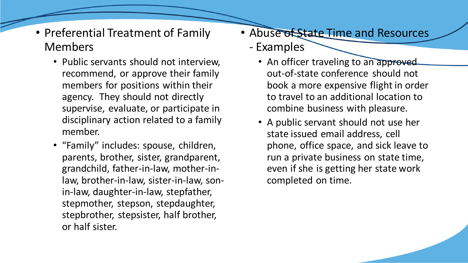- Preferential Treatment of Family Members
	- Public servants should not interview, recommend, or approve their family members for positions within their agency. They should not directly supervise, evaluate, or participate in disciplinary action related to a family member.
	- "Family" includes: spouse, children, parents, brother, sister, grandparent, grandchild, father-in-law, mother-inlaw, brother-in-law, sister-in-law, sonin-law, daughter-in-law, stepfather, stepmother, stepson, stepdaughter, stepbrother, stepsister, half brother, or half sister.
- Abuse of State Time and Resources
	- Examples
		- An officer traveling to an approved out-of-state conference should not book a more expensive flight in order to travel to an additional location to combine business with pleasure.
		- A public servant should not use her state issued email address, cell phone, office space, and sick leave to run a private business on state time, even if she is getting her state work completed on time.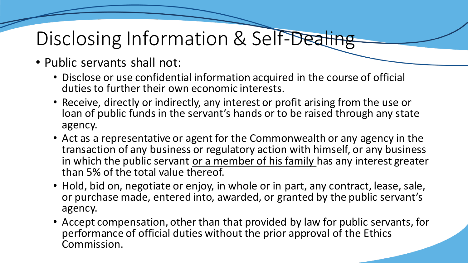## Disclosing Information & Self-Dealing

- Public servants shall not:
	- Disclose or use confidential information acquired in the course of official duties to further their own economic interests.
	- Receive, directly or indirectly, any interest or profit arising from the use or loan of public funds in the servant's hands or to be raised through any state agency.
	- Act as a representative or agent for the Commonwealth or any agency in the transaction of any business or regulatory action with himself, or any business in which the public servant or a member of his family has any interest greater than 5% of the total value thereof.
	- Hold, bid on, negotiate or enjoy, in whole or in part, any contract, lease, sale, or purchase made, entered into, awarded, or granted by the public servant's agency.
	- Accept compensation, other than that provided by law for public servants, for performance of official duties without the prior approval of the Ethics Commission.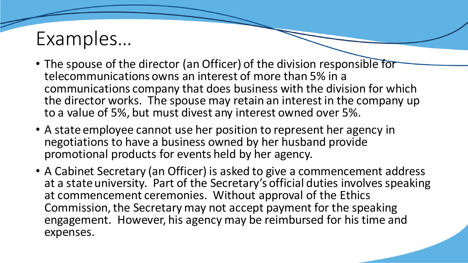## Examples…

- The spouse of the director (an Officer) of the division responsible for telecommunications owns an interest of more than 5% in a communications company that does business with the division for which the director works. The spouse may retain an interest in the company up to a value of 5%, but must divest any interest owned over 5%.
- A state employee cannot use her position to represent her agency in negotiations to have a business owned by her husband provide promotional products for events held by her agency.
- A Cabinet Secretary (an Officer) is asked to give a commencement address at a state university. Part of the Secretary's official duties involves speaking at commencement ceremonies. Without approval of the Ethics Commission, the Secretary may not accept payment for the speaking engagement. However, his agency may be reimbursed for his time and expenses.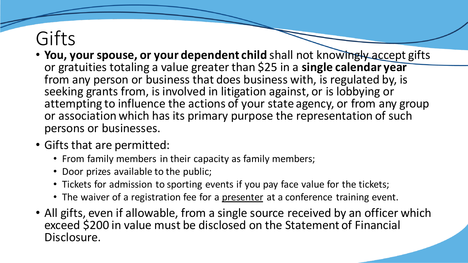## Gifts

- You, your spouse, or your dependent child shall not knowingly accept gifts or gratuities totaling a value greater than \$25 in a **single calendar year**  from any person or business that does business with, is regulated by, is seeking grants from, is involved in litigation against, or is lobbying or attempting to influence the actions of your state agency, or from any group or association which has its primary purpose the representation of such persons or businesses.
- Gifts that are permitted:
	- From family members in their capacity as family members;
	- Door prizes available to the public;
	- Tickets for admission to sporting events if you pay face value for the tickets;
	- The waiver of a registration fee for a presenter at a conference training event.
- All gifts, even if allowable, from a single source received by an officer which exceed \$200 in value must be disclosed on the Statement of Financial Disclosure.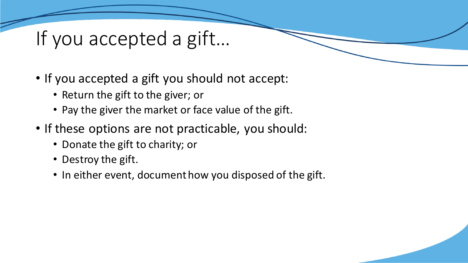## If you accepted a gift…

- If you accepted a gift you should not accept:
	- Return the gift to the giver; or
	- Pay the giver the market or face value of the gift.
- If these options are not practicable, you should:
	- Donate the gift to charity; or
	- Destroy the gift.
	- In either event, document how you disposed of the gift.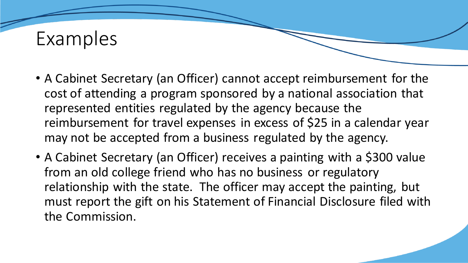### Examples

- A Cabinet Secretary (an Officer) cannot accept reimbursement for the cost of attending a program sponsored by a national association that represented entities regulated by the agency because the reimbursement for travel expenses in excess of \$25 in a calendar year may not be accepted from a business regulated by the agency.
- A Cabinet Secretary (an Officer) receives a painting with a \$300 value from an old college friend who has no business or regulatory relationship with the state. The officer may accept the painting, but must report the gift on his Statement of Financial Disclosure filed with the Commission.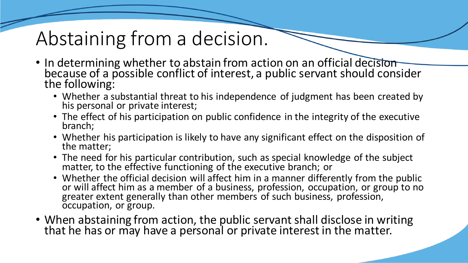## Abstaining from a decision.

- In determining whether to abstain from action on an official decision because of a possible conflict of interest, a public servant should consider the following:
	- Whether a substantial threat to his independence of judgment has been created by his personal or private interest;
	- The effect of his participation on public confidence in the integrity of the executive branch;
	- Whether his participation is likely to have any significant effect on the disposition of the matter;
	- The need for his particular contribution, such as special knowledge of the subject matter, to the effective functioning of the executive branch; or
	- Whether the official decision will affect him in a manner differently from the public or will affect him as a member of a business, profession, occupation, or group to no greater extent generally than other members of such business, profession, occupation, or group.
- When abstaining from action, the public servant shall disclose in writing that he has or may have a personal or private interest in the matter.